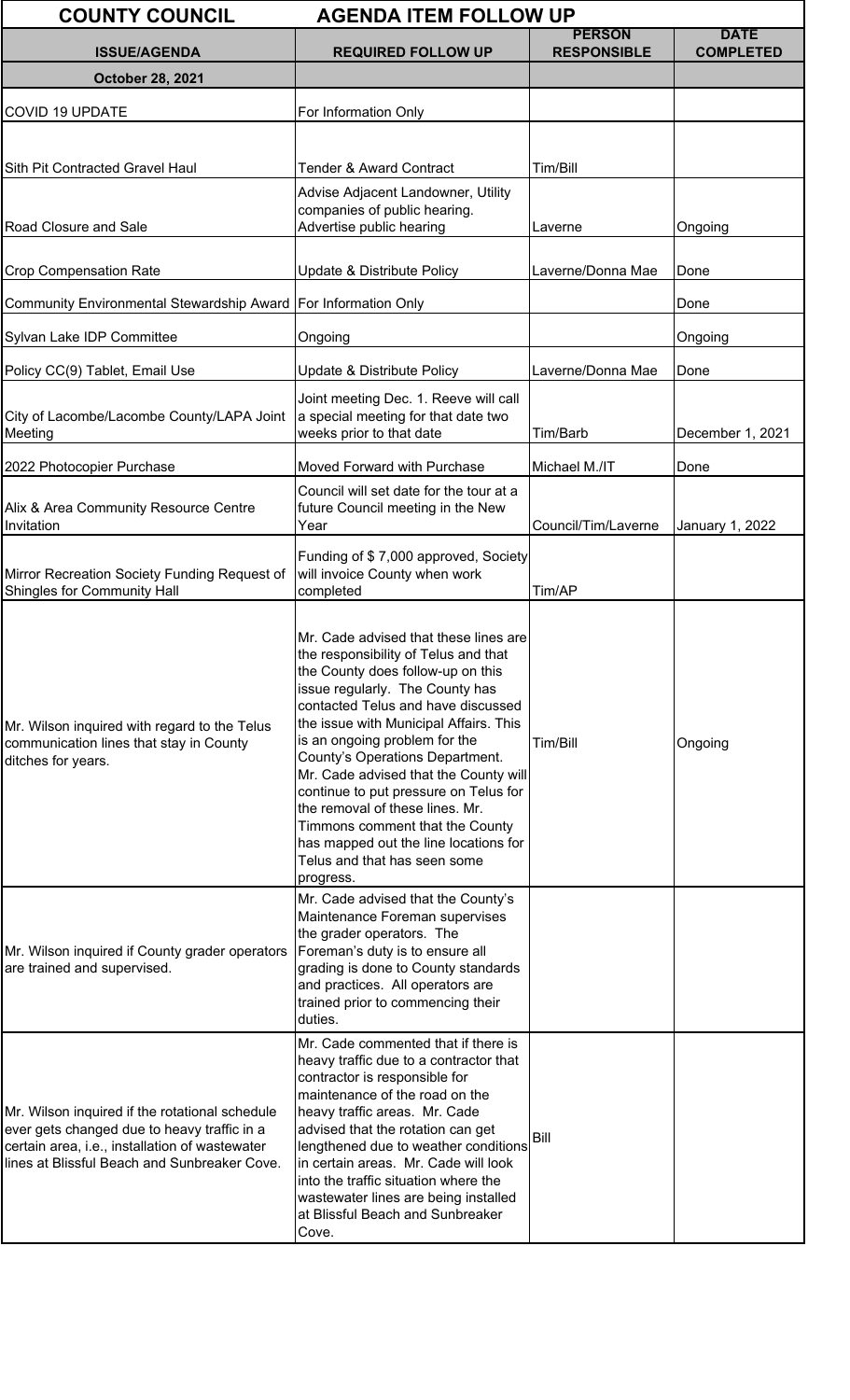| <b>COUNTY COUNCIL</b><br><b>AGENDA ITEM FOLLOW UP</b>                                                                                                                                           |                                                                                                                                                                                                                                                                                                                                                                                                                                                                                                                                                         |                                     |                                 |  |
|-------------------------------------------------------------------------------------------------------------------------------------------------------------------------------------------------|---------------------------------------------------------------------------------------------------------------------------------------------------------------------------------------------------------------------------------------------------------------------------------------------------------------------------------------------------------------------------------------------------------------------------------------------------------------------------------------------------------------------------------------------------------|-------------------------------------|---------------------------------|--|
| <b>ISSUE/AGENDA</b>                                                                                                                                                                             | <b>REQUIRED FOLLOW UP</b>                                                                                                                                                                                                                                                                                                                                                                                                                                                                                                                               | <b>PERSON</b><br><b>RESPONSIBLE</b> | <b>DATE</b><br><b>COMPLETED</b> |  |
| <b>October 28, 2021</b>                                                                                                                                                                         |                                                                                                                                                                                                                                                                                                                                                                                                                                                                                                                                                         |                                     |                                 |  |
| <b>COVID 19 UPDATE</b>                                                                                                                                                                          | For Information Only                                                                                                                                                                                                                                                                                                                                                                                                                                                                                                                                    |                                     |                                 |  |
|                                                                                                                                                                                                 |                                                                                                                                                                                                                                                                                                                                                                                                                                                                                                                                                         |                                     |                                 |  |
| Sith Pit Contracted Gravel Haul                                                                                                                                                                 | <b>Tender &amp; Award Contract</b>                                                                                                                                                                                                                                                                                                                                                                                                                                                                                                                      | Tim/Bill                            |                                 |  |
|                                                                                                                                                                                                 | Advise Adjacent Landowner, Utility                                                                                                                                                                                                                                                                                                                                                                                                                                                                                                                      |                                     |                                 |  |
| Road Closure and Sale                                                                                                                                                                           | companies of public hearing.<br>Advertise public hearing                                                                                                                                                                                                                                                                                                                                                                                                                                                                                                | Laverne                             | Ongoing                         |  |
| <b>Crop Compensation Rate</b>                                                                                                                                                                   | Update & Distribute Policy                                                                                                                                                                                                                                                                                                                                                                                                                                                                                                                              | Laverne/Donna Mae                   | Done                            |  |
| Community Environmental Stewardship Award   For Information Only                                                                                                                                |                                                                                                                                                                                                                                                                                                                                                                                                                                                                                                                                                         |                                     | Done                            |  |
| Sylvan Lake IDP Committee                                                                                                                                                                       | Ongoing                                                                                                                                                                                                                                                                                                                                                                                                                                                                                                                                                 |                                     | Ongoing                         |  |
| Policy CC(9) Tablet, Email Use                                                                                                                                                                  | Update & Distribute Policy                                                                                                                                                                                                                                                                                                                                                                                                                                                                                                                              | Laverne/Donna Mae                   | Done                            |  |
| City of Lacombe/Lacombe County/LAPA Joint<br>Meeting                                                                                                                                            | Joint meeting Dec. 1. Reeve will call<br>a special meeting for that date two<br>weeks prior to that date                                                                                                                                                                                                                                                                                                                                                                                                                                                | Tim/Barb                            | December 1, 2021                |  |
| 2022 Photocopier Purchase                                                                                                                                                                       | Moved Forward with Purchase                                                                                                                                                                                                                                                                                                                                                                                                                                                                                                                             | Michael M./IT                       | Done                            |  |
| Alix & Area Community Resource Centre<br>Invitation                                                                                                                                             | Council will set date for the tour at a<br>future Council meeting in the New<br>Year                                                                                                                                                                                                                                                                                                                                                                                                                                                                    | Council/Tim/Laverne                 | January 1, 2022                 |  |
| Mirror Recreation Society Funding Request of<br>Shingles for Community Hall                                                                                                                     | Funding of \$7,000 approved, Society<br>will invoice County when work<br>completed                                                                                                                                                                                                                                                                                                                                                                                                                                                                      | Tim/AP                              |                                 |  |
| Mr. Wilson inquired with regard to the Telus<br>communication lines that stay in County<br>ditches for years.                                                                                   | Mr. Cade advised that these lines are<br>the responsibility of Telus and that<br>the County does follow-up on this<br>issue regularly. The County has<br>contacted Telus and have discussed<br>the issue with Municipal Affairs. This<br>is an ongoing problem for the<br>County's Operations Department.<br>Mr. Cade advised that the County will<br>continue to put pressure on Telus for<br>the removal of these lines. Mr.<br>Timmons comment that the County<br>has mapped out the line locations for<br>Telus and that has seen some<br>progress. | Tim/Bill                            | Ongoing                         |  |
| Mr. Wilson inquired if County grader operators<br>are trained and supervised.                                                                                                                   | Mr. Cade advised that the County's<br>Maintenance Foreman supervises<br>the grader operators. The<br>Foreman's duty is to ensure all<br>grading is done to County standards<br>and practices. All operators are<br>trained prior to commencing their<br>duties.                                                                                                                                                                                                                                                                                         |                                     |                                 |  |
| Mr. Wilson inquired if the rotational schedule<br>ever gets changed due to heavy traffic in a<br>certain area, i.e., installation of wastewater<br>lines at Blissful Beach and Sunbreaker Cove. | Mr. Cade commented that if there is<br>heavy traffic due to a contractor that<br>contractor is responsible for<br>maintenance of the road on the<br>heavy traffic areas. Mr. Cade<br>advised that the rotation can get<br>lengthened due to weather conditions<br>in certain areas. Mr. Cade will look<br>into the traffic situation where the<br>wastewater lines are being installed<br>at Blissful Beach and Sunbreaker<br>Cove.                                                                                                                     | Bill                                |                                 |  |